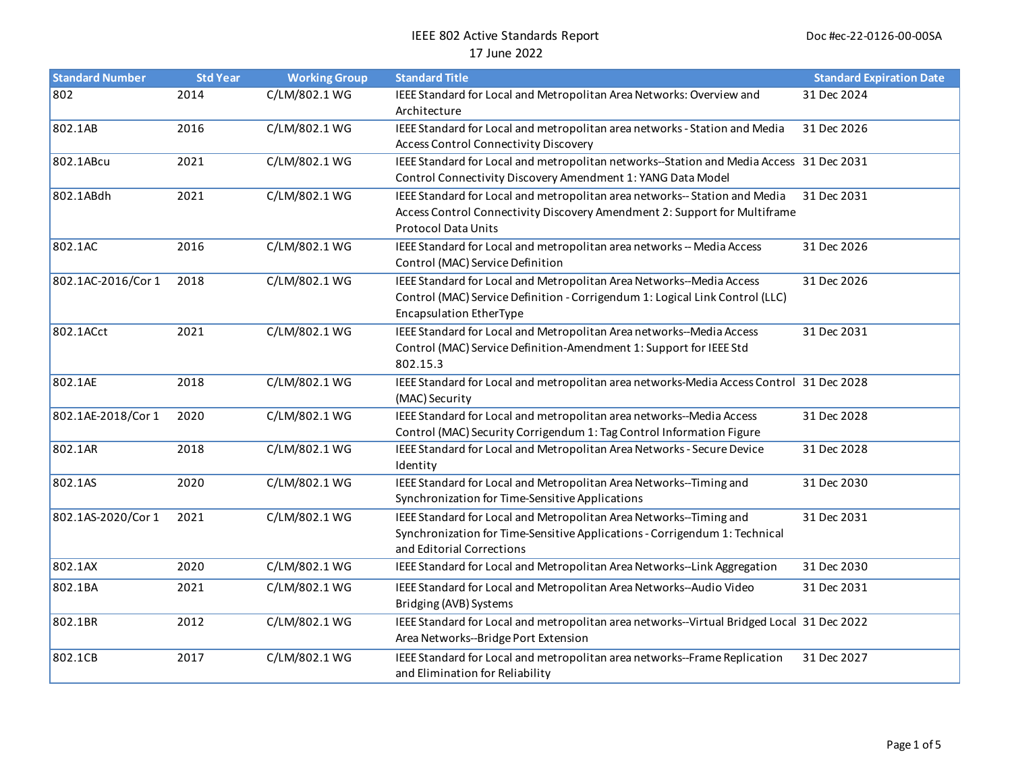| <b>Standard Number</b> | <b>Std Year</b> | <b>Working Group</b> | <b>Standard Title</b>                                                                                                                                                                  | <b>Standard Expiration Date</b> |
|------------------------|-----------------|----------------------|----------------------------------------------------------------------------------------------------------------------------------------------------------------------------------------|---------------------------------|
| 802                    | 2014            | C/LM/802.1 WG        | IEEE Standard for Local and Metropolitan Area Networks: Overview and<br>Architecture                                                                                                   | 31 Dec 2024                     |
| 802.1AB                | 2016            | C/LM/802.1 WG        | IEEE Standard for Local and metropolitan area networks - Station and Media<br><b>Access Control Connectivity Discovery</b>                                                             | 31 Dec 2026                     |
| 802.1ABcu              | 2021            | C/LM/802.1 WG        | IEEE Standard for Local and metropolitan networks--Station and Media Access 31 Dec 2031<br>Control Connectivity Discovery Amendment 1: YANG Data Model                                 |                                 |
| 802.1ABdh              | 2021            | C/LM/802.1 WG        | IEEE Standard for Local and metropolitan area networks--Station and Media<br>Access Control Connectivity Discovery Amendment 2: Support for Multiframe<br><b>Protocol Data Units</b>   | 31 Dec 2031                     |
| 802.1AC                | 2016            | C/LM/802.1 WG        | IEEE Standard for Local and metropolitan area networks -- Media Access<br>Control (MAC) Service Definition                                                                             | 31 Dec 2026                     |
| 802.1AC-2016/Cor 1     | 2018            | C/LM/802.1 WG        | IEEE Standard for Local and Metropolitan Area Networks--Media Access<br>Control (MAC) Service Definition - Corrigendum 1: Logical Link Control (LLC)<br><b>Encapsulation EtherType</b> | 31 Dec 2026                     |
| 802.1ACct              | 2021            | C/LM/802.1 WG        | IEEE Standard for Local and Metropolitan Area networks--Media Access<br>Control (MAC) Service Definition-Amendment 1: Support for IEEE Std<br>802.15.3                                 | 31 Dec 2031                     |
| 802.1AE                | 2018            | C/LM/802.1 WG        | IEEE Standard for Local and metropolitan area networks-Media Access Control 31 Dec 2028<br>(MAC) Security                                                                              |                                 |
| 802.1AE-2018/Cor 1     | 2020            | C/LM/802.1 WG        | IEEE Standard for Local and metropolitan area networks--Media Access<br>Control (MAC) Security Corrigendum 1: Tag Control Information Figure                                           | 31 Dec 2028                     |
| 802.1AR                | 2018            | C/LM/802.1 WG        | IEEE Standard for Local and Metropolitan Area Networks - Secure Device<br>Identity                                                                                                     | 31 Dec 2028                     |
| 802.1AS                | 2020            | C/LM/802.1 WG        | IEEE Standard for Local and Metropolitan Area Networks--Timing and<br>Synchronization for Time-Sensitive Applications                                                                  | 31 Dec 2030                     |
| 802.1AS-2020/Cor 1     | 2021            | C/LM/802.1 WG        | IEEE Standard for Local and Metropolitan Area Networks--Timing and<br>Synchronization for Time-Sensitive Applications - Corrigendum 1: Technical<br>and Editorial Corrections          | 31 Dec 2031                     |
| 802.1AX                | 2020            | C/LM/802.1 WG        | IEEE Standard for Local and Metropolitan Area Networks--Link Aggregation                                                                                                               | 31 Dec 2030                     |
| 802.1BA                | 2021            | C/LM/802.1 WG        | IEEE Standard for Local and Metropolitan Area Networks--Audio Video<br>Bridging (AVB) Systems                                                                                          | 31 Dec 2031                     |
| 802.1BR                | 2012            | C/LM/802.1 WG        | IEEE Standard for Local and metropolitan area networks--Virtual Bridged Local 31 Dec 2022<br>Area Networks--Bridge Port Extension                                                      |                                 |
| 802.1CB                | 2017            | C/LM/802.1 WG        | IEEE Standard for Local and metropolitan area networks--Frame Replication<br>and Elimination for Reliability                                                                           | 31 Dec 2027                     |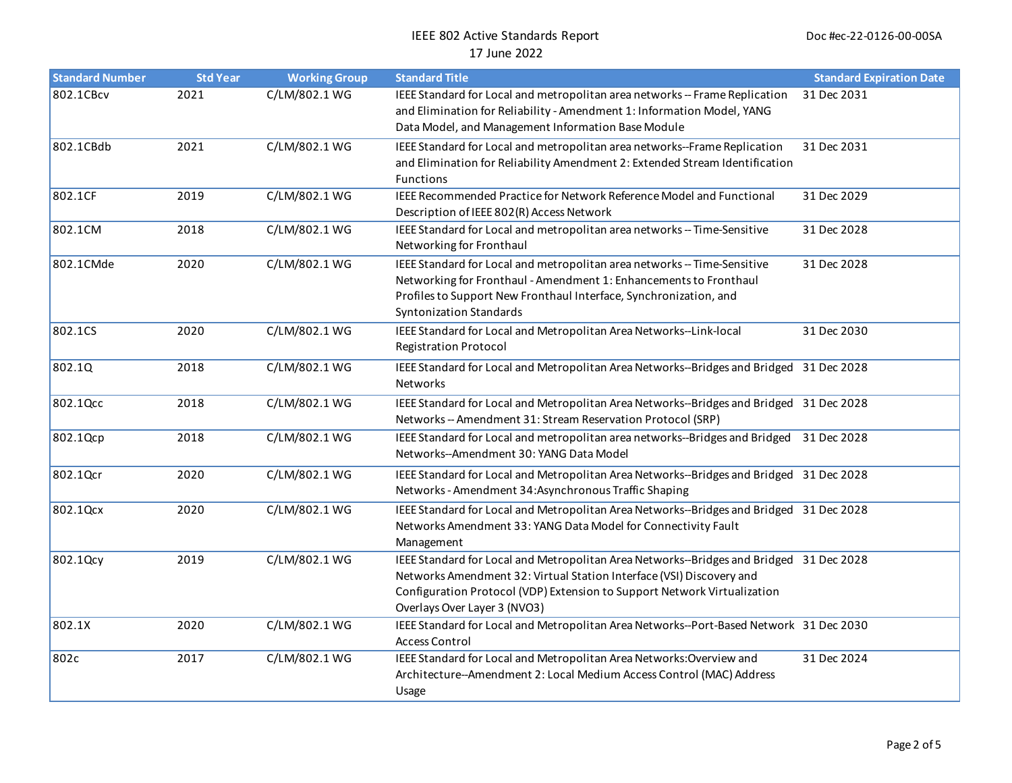| <b>Standard Number</b> | <b>Std Year</b> | <b>Working Group</b> | <b>Standard Title</b>                                                                                                                                                                                                                                                       | <b>Standard Expiration Date</b> |
|------------------------|-----------------|----------------------|-----------------------------------------------------------------------------------------------------------------------------------------------------------------------------------------------------------------------------------------------------------------------------|---------------------------------|
| 802.1CBcv              | 2021            | C/LM/802.1 WG        | IEEE Standard for Local and metropolitan area networks -- Frame Replication<br>and Elimination for Reliability - Amendment 1: Information Model, YANG<br>Data Model, and Management Information Base Module                                                                 | 31 Dec 2031                     |
| 802.1CBdb              | 2021            | C/LM/802.1 WG        | IEEE Standard for Local and metropolitan area networks--Frame Replication<br>and Elimination for Reliability Amendment 2: Extended Stream Identification<br><b>Functions</b>                                                                                                | 31 Dec 2031                     |
| 802.1CF                | 2019            | C/LM/802.1 WG        | IEEE Recommended Practice for Network Reference Model and Functional<br>Description of IEEE 802(R) Access Network                                                                                                                                                           | 31 Dec 2029                     |
| 802.1CM                | 2018            | C/LM/802.1 WG        | IEEE Standard for Local and metropolitan area networks -- Time-Sensitive<br>Networking for Fronthaul                                                                                                                                                                        | 31 Dec 2028                     |
| 802.1CMde              | 2020            | C/LM/802.1 WG        | IEEE Standard for Local and metropolitan area networks -- Time-Sensitive<br>Networking for Fronthaul - Amendment 1: Enhancements to Fronthaul<br>Profiles to Support New Fronthaul Interface, Synchronization, and<br><b>Syntonization Standards</b>                        | 31 Dec 2028                     |
| 802.1CS                | 2020            | C/LM/802.1 WG        | IEEE Standard for Local and Metropolitan Area Networks--Link-local<br><b>Registration Protocol</b>                                                                                                                                                                          | 31 Dec 2030                     |
| 802.1Q                 | 2018            | C/LM/802.1 WG        | IEEE Standard for Local and Metropolitan Area Networks--Bridges and Bridged 31 Dec 2028<br>Networks                                                                                                                                                                         |                                 |
| 802.1Qcc               | 2018            | C/LM/802.1 WG        | IEEE Standard for Local and Metropolitan Area Networks--Bridges and Bridged 31 Dec 2028<br>Networks -- Amendment 31: Stream Reservation Protocol (SRP)                                                                                                                      |                                 |
| 802.1Qcp               | 2018            | C/LM/802.1 WG        | IEEE Standard for Local and metropolitan area networks--Bridges and Bridged 31 Dec 2028<br>Networks--Amendment 30: YANG Data Model                                                                                                                                          |                                 |
| 802.1Qcr               | 2020            | C/LM/802.1 WG        | IEEE Standard for Local and Metropolitan Area Networks--Bridges and Bridged 31 Dec 2028<br>Networks - Amendment 34: Asynchronous Traffic Shaping                                                                                                                            |                                 |
| 802.1Qcx               | 2020            | C/LM/802.1 WG        | IEEE Standard for Local and Metropolitan Area Networks--Bridges and Bridged 31 Dec 2028<br>Networks Amendment 33: YANG Data Model for Connectivity Fault<br>Management                                                                                                      |                                 |
| 802.1Qcy               | 2019            | C/LM/802.1 WG        | IEEE Standard for Local and Metropolitan Area Networks--Bridges and Bridged 31 Dec 2028<br>Networks Amendment 32: Virtual Station Interface (VSI) Discovery and<br>Configuration Protocol (VDP) Extension to Support Network Virtualization<br>Overlays Over Layer 3 (NVO3) |                                 |
| 802.1X                 | 2020            | C/LM/802.1 WG        | IEEE Standard for Local and Metropolitan Area Networks--Port-Based Network 31 Dec 2030<br><b>Access Control</b>                                                                                                                                                             |                                 |
| 802c                   | 2017            | C/LM/802.1 WG        | IEEE Standard for Local and Metropolitan Area Networks: Overview and<br>Architecture--Amendment 2: Local Medium Access Control (MAC) Address<br>Usage                                                                                                                       | 31 Dec 2024                     |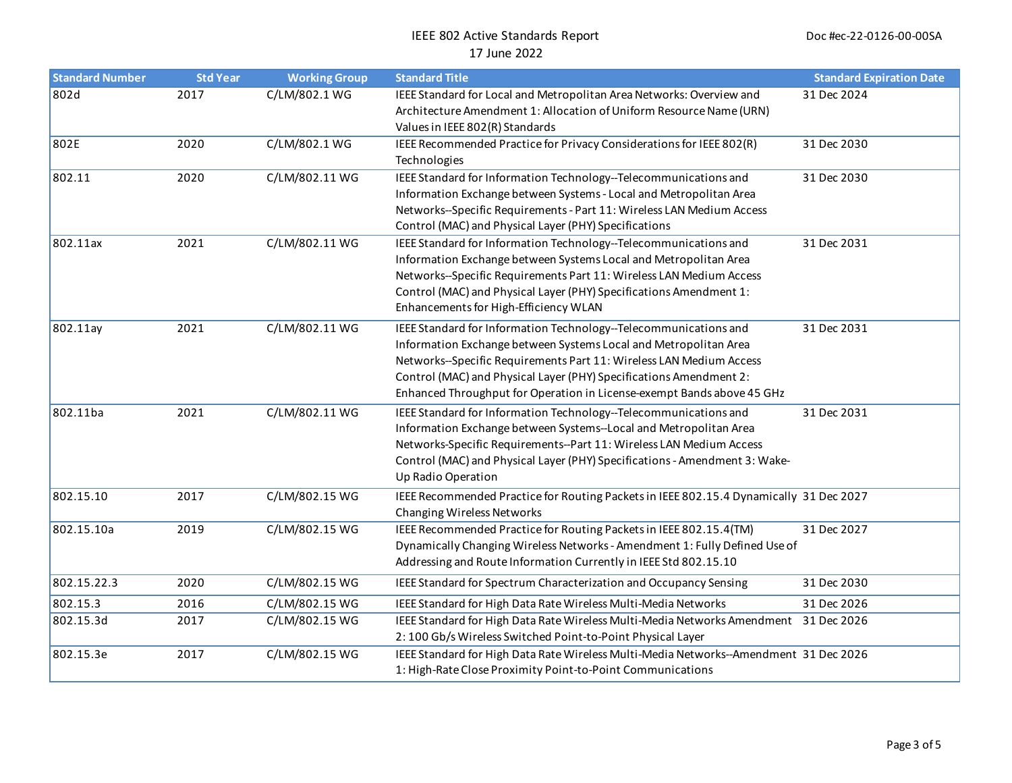| <b>Standard Number</b> | <b>Std Year</b> | <b>Working Group</b> | <b>Standard Title</b>                                                                                                                                                                                                                                                                                                                                       | <b>Standard Expiration Date</b> |
|------------------------|-----------------|----------------------|-------------------------------------------------------------------------------------------------------------------------------------------------------------------------------------------------------------------------------------------------------------------------------------------------------------------------------------------------------------|---------------------------------|
| 802d                   | 2017            | C/LM/802.1 WG        | IEEE Standard for Local and Metropolitan Area Networks: Overview and<br>Architecture Amendment 1: Allocation of Uniform Resource Name (URN)<br>Values in IEEE 802(R) Standards                                                                                                                                                                              | 31 Dec 2024                     |
| 802E                   | 2020            | C/LM/802.1 WG        | IEEE Recommended Practice for Privacy Considerations for IEEE 802(R)<br>Technologies                                                                                                                                                                                                                                                                        | 31 Dec 2030                     |
| 802.11                 | 2020            | C/LM/802.11 WG       | IEEE Standard for Information Technology--Telecommunications and<br>Information Exchange between Systems - Local and Metropolitan Area<br>Networks--Specific Requirements - Part 11: Wireless LAN Medium Access<br>Control (MAC) and Physical Layer (PHY) Specifications                                                                                    | 31 Dec 2030                     |
| 802.11ax               | 2021            | C/LM/802.11 WG       | IEEE Standard for Information Technology--Telecommunications and<br>Information Exchange between Systems Local and Metropolitan Area<br>Networks--Specific Requirements Part 11: Wireless LAN Medium Access<br>Control (MAC) and Physical Layer (PHY) Specifications Amendment 1:<br>Enhancements for High-Efficiency WLAN                                  | 31 Dec 2031                     |
| 802.11ay               | 2021            | C/LM/802.11 WG       | IEEE Standard for Information Technology--Telecommunications and<br>Information Exchange between Systems Local and Metropolitan Area<br>Networks--Specific Requirements Part 11: Wireless LAN Medium Access<br>Control (MAC) and Physical Layer (PHY) Specifications Amendment 2:<br>Enhanced Throughput for Operation in License-exempt Bands above 45 GHz | 31 Dec 2031                     |
| 802.11ba               | 2021            | C/LM/802.11 WG       | IEEE Standard for Information Technology--Telecommunications and<br>Information Exchange between Systems--Local and Metropolitan Area<br>Networks-Specific Requirements--Part 11: Wireless LAN Medium Access<br>Control (MAC) and Physical Layer (PHY) Specifications - Amendment 3: Wake-<br>Up Radio Operation                                            | 31 Dec 2031                     |
| 802.15.10              | 2017            | C/LM/802.15 WG       | IEEE Recommended Practice for Routing Packets in IEEE 802.15.4 Dynamically 31 Dec 2027<br>Changing Wireless Networks                                                                                                                                                                                                                                        |                                 |
| 802.15.10a             | 2019            | C/LM/802.15 WG       | IEEE Recommended Practice for Routing Packets in IEEE 802.15.4(TM)<br>Dynamically Changing Wireless Networks - Amendment 1: Fully Defined Use of<br>Addressing and Route Information Currently in IEEE Std 802.15.10                                                                                                                                        | 31 Dec 2027                     |
| 802.15.22.3            | 2020            | C/LM/802.15 WG       | IEEE Standard for Spectrum Characterization and Occupancy Sensing                                                                                                                                                                                                                                                                                           | 31 Dec 2030                     |
| 802.15.3               | 2016            | C/LM/802.15 WG       | IEEE Standard for High Data Rate Wireless Multi-Media Networks                                                                                                                                                                                                                                                                                              | 31 Dec 2026                     |
| 802.15.3d              | 2017            | C/LM/802.15 WG       | IEEE Standard for High Data Rate Wireless Multi-Media Networks Amendment 31 Dec 2026<br>2:100 Gb/s Wireless Switched Point-to-Point Physical Layer                                                                                                                                                                                                          |                                 |
| 802.15.3e              | 2017            | C/LM/802.15 WG       | IEEE Standard for High Data Rate Wireless Multi-Media Networks--Amendment 31 Dec 2026<br>1: High-Rate Close Proximity Point-to-Point Communications                                                                                                                                                                                                         |                                 |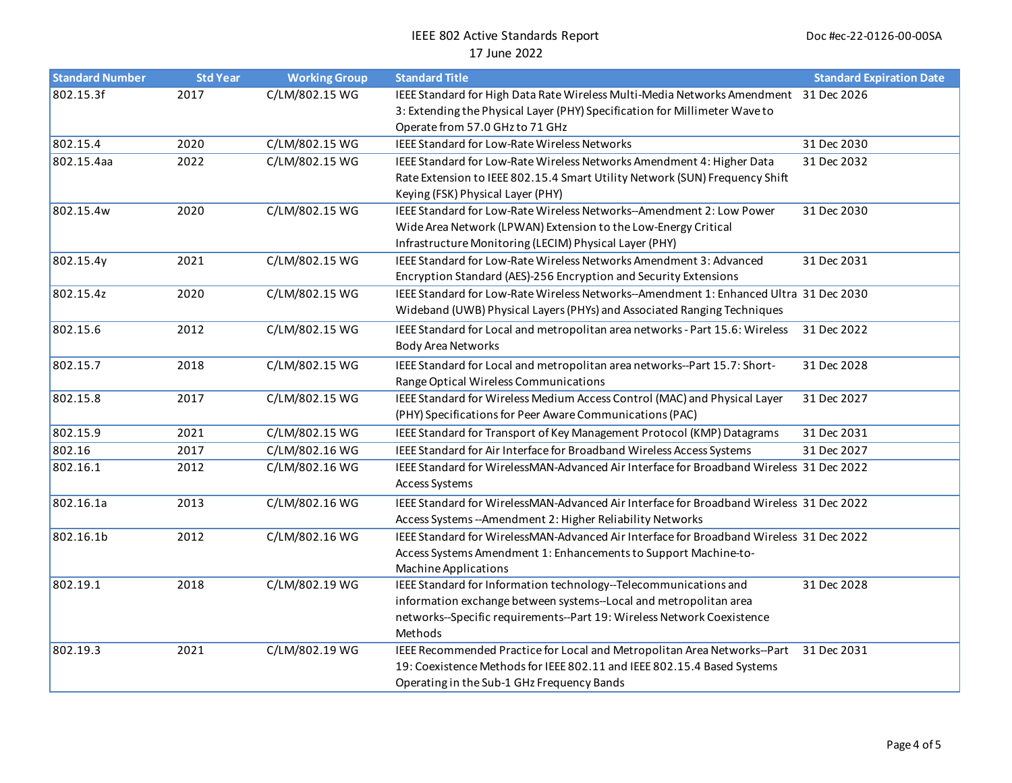| <b>Standard Number</b> | <b>Std Year</b> | <b>Working Group</b> | <b>Standard Title</b>                                                                                                                                                                                                      | <b>Standard Expiration Date</b> |
|------------------------|-----------------|----------------------|----------------------------------------------------------------------------------------------------------------------------------------------------------------------------------------------------------------------------|---------------------------------|
| 802.15.3f              | 2017            | C/LM/802.15 WG       | IEEE Standard for High Data Rate Wireless Multi-Media Networks Amendment 31 Dec 2026<br>3: Extending the Physical Layer (PHY) Specification for Millimeter Wave to<br>Operate from 57.0 GHz to 71 GHz                      |                                 |
| 802.15.4               | 2020            | C/LM/802.15 WG       | IEEE Standard for Low-Rate Wireless Networks                                                                                                                                                                               | 31 Dec 2030                     |
| 802.15.4aa             | 2022            | C/LM/802.15 WG       | IEEE Standard for Low-Rate Wireless Networks Amendment 4: Higher Data<br>Rate Extension to IEEE 802.15.4 Smart Utility Network (SUN) Frequency Shift<br>Keying (FSK) Physical Layer (PHY)                                  | 31 Dec 2032                     |
| 802.15.4w              | 2020            | C/LM/802.15 WG       | IEEE Standard for Low-Rate Wireless Networks--Amendment 2: Low Power<br>Wide Area Network (LPWAN) Extension to the Low-Energy Critical<br>Infrastructure Monitoring (LECIM) Physical Layer (PHY)                           | 31 Dec 2030                     |
| 802.15.4y              | 2021            | C/LM/802.15 WG       | IEEE Standard for Low-Rate Wireless Networks Amendment 3: Advanced<br>Encryption Standard (AES)-256 Encryption and Security Extensions                                                                                     | 31 Dec 2031                     |
| 802.15.4z              | 2020            | C/LM/802.15 WG       | IEEE Standard for Low-Rate Wireless Networks--Amendment 1: Enhanced Ultra 31 Dec 2030<br>Wideband (UWB) Physical Layers (PHYs) and Associated Ranging Techniques                                                           |                                 |
| 802.15.6               | 2012            | C/LM/802.15 WG       | IEEE Standard for Local and metropolitan area networks - Part 15.6: Wireless<br><b>Body Area Networks</b>                                                                                                                  | 31 Dec 2022                     |
| 802.15.7               | 2018            | C/LM/802.15 WG       | IEEE Standard for Local and metropolitan area networks--Part 15.7: Short-<br>Range Optical Wireless Communications                                                                                                         | 31 Dec 2028                     |
| 802.15.8               | 2017            | C/LM/802.15 WG       | IEEE Standard for Wireless Medium Access Control (MAC) and Physical Layer<br>(PHY) Specifications for Peer Aware Communications (PAC)                                                                                      | 31 Dec 2027                     |
| 802.15.9               | 2021            | C/LM/802.15 WG       | IEEE Standard for Transport of Key Management Protocol (KMP) Datagrams                                                                                                                                                     | 31 Dec 2031                     |
| 802.16                 | 2017            | C/LM/802.16 WG       | IEEE Standard for Air Interface for Broadband Wireless Access Systems                                                                                                                                                      | 31 Dec 2027                     |
| 802.16.1               | 2012            | C/LM/802.16 WG       | IEEE Standard for WirelessMAN-Advanced Air Interface for Broadband Wireless 31 Dec 2022<br>Access Systems                                                                                                                  |                                 |
| 802.16.1a              | 2013            | C/LM/802.16 WG       | IEEE Standard for WirelessMAN-Advanced Air Interface for Broadband Wireless 31 Dec 2022<br>Access Systems -- Amendment 2: Higher Reliability Networks                                                                      |                                 |
| 802.16.1b              | 2012            | C/LM/802.16 WG       | IEEE Standard for WirelessMAN-Advanced Air Interface for Broadband Wireless 31 Dec 2022<br>Access Systems Amendment 1: Enhancements to Support Machine-to-<br>Machine Applications                                         |                                 |
| 802.19.1               | 2018            | C/LM/802.19 WG       | IEEE Standard for Information technology--Telecommunications and<br>information exchange between systems--Local and metropolitan area<br>networks--Specific requirements--Part 19: Wireless Network Coexistence<br>Methods | 31 Dec 2028                     |
| 802.19.3               | 2021            | C/LM/802.19 WG       | IEEE Recommended Practice for Local and Metropolitan Area Networks--Part<br>19: Coexistence Methods for IEEE 802.11 and IEEE 802.15.4 Based Systems<br>Operating in the Sub-1 GHz Frequency Bands                          | 31 Dec 2031                     |